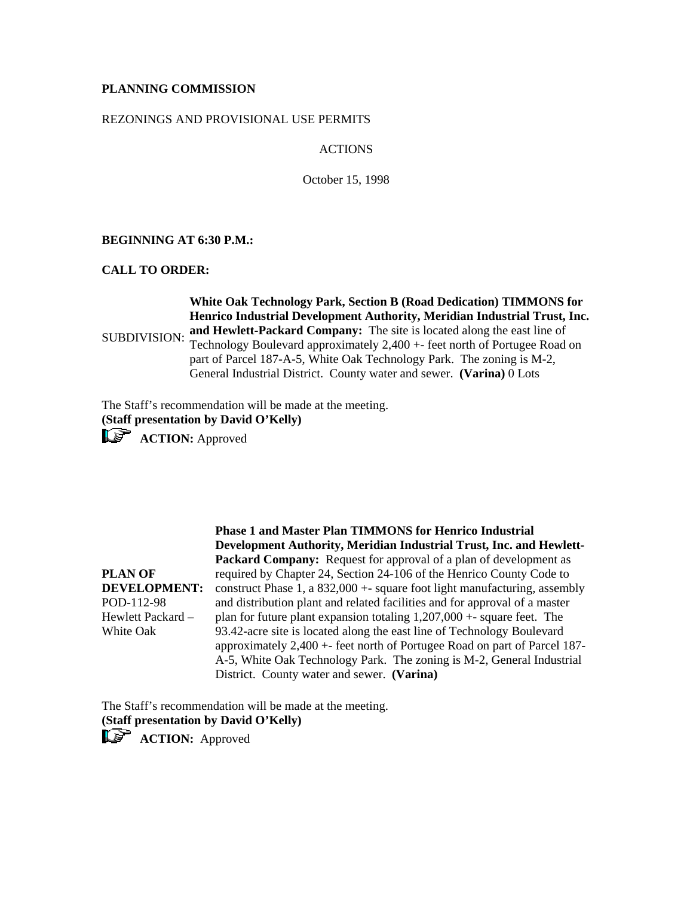# **PLANNING COMMISSION**

### REZONINGS AND PROVISIONAL USE PERMITS

## ACTIONS

October 15, 1998

## **BEGINNING AT 6:30 P.M.:**

## **CALL TO ORDER:**

SUBDIVISION: **and Hewlett-Packard Company:** The site is located along the east line of **White Oak Technology Park, Section B (Road Dedication) TIMMONS for Henrico Industrial Development Authority, Meridian Industrial Trust, Inc.**  Technology Boulevard approximately 2,400 +- feet north of Portugee Road on

part of Parcel 187-A-5, White Oak Technology Park. The zoning is M-2, General Industrial District. County water and sewer. **(Varina)** 0 Lots

The Staff's recommendation will be made at the meeting. **(Staff presentation by David O'Kelly)**

**ACTION:** Approved

**PLAN OF** 

White Oak

**DEVELOPMENT:** POD-112-98 Hewlett Packard – **Phase 1 and Master Plan TIMMONS for Henrico Industrial Development Authority, Meridian Industrial Trust, Inc. and Hewlett-Packard Company:** Request for approval of a plan of development as required by Chapter 24, Section 24-106 of the Henrico County Code to construct Phase 1, a  $832,000 +$ - square foot light manufacturing, assembly and distribution plant and related facilities and for approval of a master plan for future plant expansion totaling 1,207,000 +- square feet. The 93.42-acre site is located along the east line of Technology Boulevard approximately 2,400 +- feet north of Portugee Road on part of Parcel 187- A-5, White Oak Technology Park. The zoning is M-2, General Industrial District. County water and sewer. **(Varina)**

The Staff's recommendation will be made at the meeting. **(Staff presentation by David O'Kelly)**

**ACTION:** Approved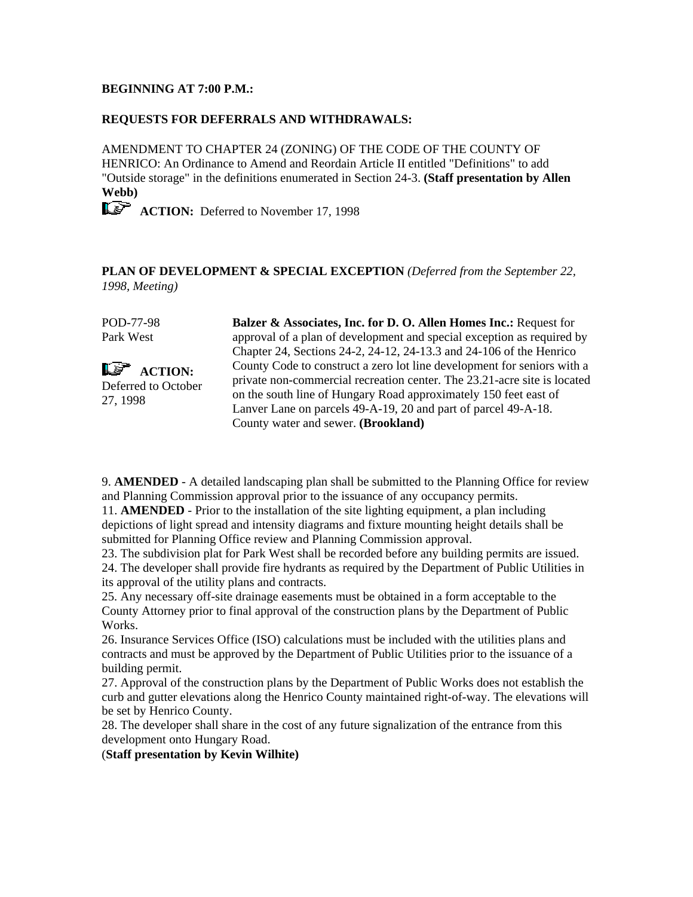## **BEGINNING AT 7:00 P.M.:**

## **REQUESTS FOR DEFERRALS AND WITHDRAWALS:**

AMENDMENT TO CHAPTER 24 (ZONING) OF THE CODE OF THE COUNTY OF HENRICO: An Ordinance to Amend and Reordain Article II entitled "Definitions" to add "Outside storage" in the definitions enumerated in Section 24-3. **(Staff presentation by Allen Webb)**

**ACTION:** Deferred to November 17, 1998

**PLAN OF DEVELOPMENT & SPECIAL EXCEPTION** *(Deferred from the September 22, 1998, Meeting)*

POD-77-98 Park West **LE<sup>T</sup>** ACTION: Deferred to October 27, 1998 **Balzer & Associates, Inc. for D. O. Allen Homes Inc.:** Request for approval of a plan of development and special exception as required by Chapter 24, Sections 24-2, 24-12, 24-13.3 and 24-106 of the Henrico County Code to construct a zero lot line development for seniors with a private non-commercial recreation center. The 23.21-acre site is located on the south line of Hungary Road approximately 150 feet east of Lanver Lane on parcels 49-A-19, 20 and part of parcel 49-A-18. County water and sewer. **(Brookland)**

9. **AMENDED** - A detailed landscaping plan shall be submitted to the Planning Office for review and Planning Commission approval prior to the issuance of any occupancy permits.

11. **AMENDED** - Prior to the installation of the site lighting equipment, a plan including depictions of light spread and intensity diagrams and fixture mounting height details shall be submitted for Planning Office review and Planning Commission approval.

23. The subdivision plat for Park West shall be recorded before any building permits are issued. 24. The developer shall provide fire hydrants as required by the Department of Public Utilities in its approval of the utility plans and contracts.

25. Any necessary off-site drainage easements must be obtained in a form acceptable to the County Attorney prior to final approval of the construction plans by the Department of Public Works.

26. Insurance Services Office (ISO) calculations must be included with the utilities plans and contracts and must be approved by the Department of Public Utilities prior to the issuance of a building permit.

27. Approval of the construction plans by the Department of Public Works does not establish the curb and gutter elevations along the Henrico County maintained right-of-way. The elevations will be set by Henrico County.

28. The developer shall share in the cost of any future signalization of the entrance from this development onto Hungary Road.

(**Staff presentation by Kevin Wilhite)**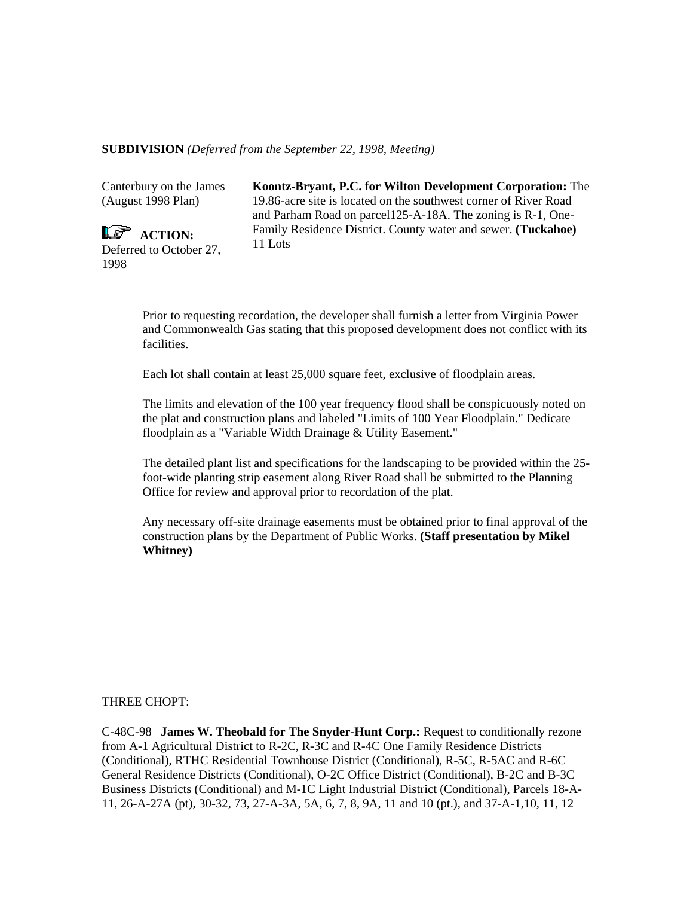## **SUBDIVISION** *(Deferred from the September 22, 1998, Meeting)*

Canterbury on the James (August 1998 Plan)

 $\overline{\mathbb{L}^2}$  ACTION: Deferred to October 27, 1998

**Koontz-Bryant, P.C. for Wilton Development Corporation:** The 19.86-acre site is located on the southwest corner of River Road and Parham Road on parcel125-A-18A. The zoning is R-1, One-Family Residence District. County water and sewer. **(Tuckahoe)** 11 Lots

Prior to requesting recordation, the developer shall furnish a letter from Virginia Power and Commonwealth Gas stating that this proposed development does not conflict with its facilities.

Each lot shall contain at least 25,000 square feet, exclusive of floodplain areas.

The limits and elevation of the 100 year frequency flood shall be conspicuously noted on the plat and construction plans and labeled "Limits of 100 Year Floodplain." Dedicate floodplain as a "Variable Width Drainage & Utility Easement."

The detailed plant list and specifications for the landscaping to be provided within the 25 foot-wide planting strip easement along River Road shall be submitted to the Planning Office for review and approval prior to recordation of the plat.

Any necessary off-site drainage easements must be obtained prior to final approval of the construction plans by the Department of Public Works. **(Staff presentation by Mikel Whitney)**

#### THREE CHOPT:

C-48C-98 **James W. Theobald for The Snyder-Hunt Corp.:** Request to conditionally rezone from A-1 Agricultural District to R-2C, R-3C and R-4C One Family Residence Districts (Conditional), RTHC Residential Townhouse District (Conditional), R-5C, R-5AC and R-6C General Residence Districts (Conditional), O-2C Office District (Conditional), B-2C and B-3C Business Districts (Conditional) and M-1C Light Industrial District (Conditional), Parcels 18-A-11, 26-A-27A (pt), 30-32, 73, 27-A-3A, 5A, 6, 7, 8, 9A, 11 and 10 (pt.), and 37-A-1,10, 11, 12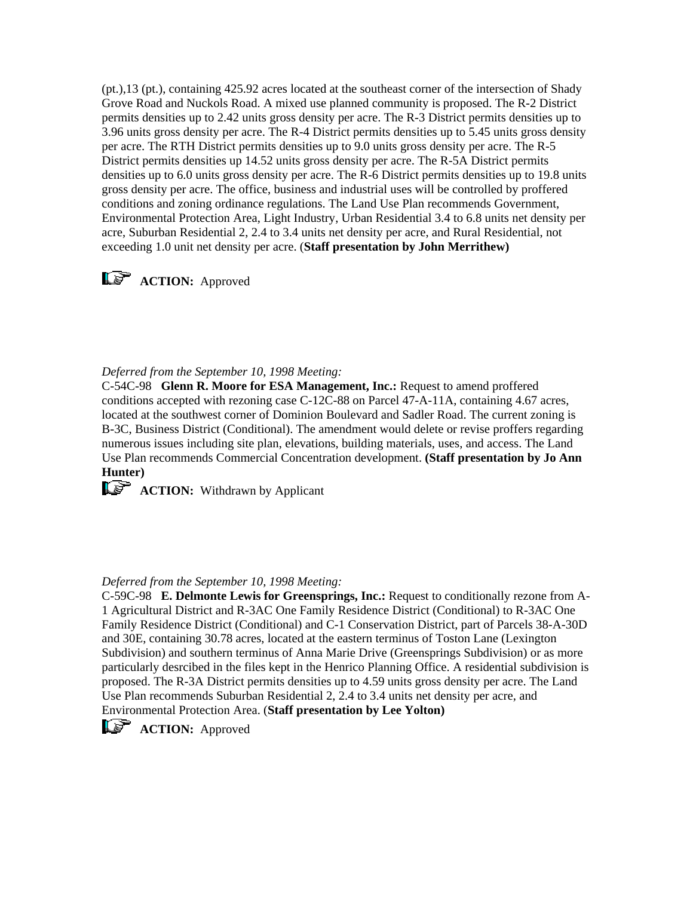(pt.),13 (pt.), containing 425.92 acres located at the southeast corner of the intersection of Shady Grove Road and Nuckols Road. A mixed use planned community is proposed. The R-2 District permits densities up to 2.42 units gross density per acre. The R-3 District permits densities up to 3.96 units gross density per acre. The R-4 District permits densities up to 5.45 units gross density per acre. The RTH District permits densities up to 9.0 units gross density per acre. The R-5 District permits densities up 14.52 units gross density per acre. The R-5A District permits densities up to 6.0 units gross density per acre. The R-6 District permits densities up to 19.8 units gross density per acre. The office, business and industrial uses will be controlled by proffered conditions and zoning ordinance regulations. The Land Use Plan recommends Government, Environmental Protection Area, Light Industry, Urban Residential 3.4 to 6.8 units net density per acre, Suburban Residential 2, 2.4 to 3.4 units net density per acre, and Rural Residential, not exceeding 1.0 unit net density per acre. (**Staff presentation by John Merrithew)**

# **ACTION:** Approved

*Deferred from the September 10, 1998 Meeting:*

C-54C-98 **Glenn R. Moore for ESA Management, Inc.:** Request to amend proffered conditions accepted with rezoning case C-12C-88 on Parcel 47-A-11A, containing 4.67 acres, located at the southwest corner of Dominion Boulevard and Sadler Road. The current zoning is B-3C, Business District (Conditional). The amendment would delete or revise proffers regarding numerous issues including site plan, elevations, building materials, uses, and access. The Land Use Plan recommends Commercial Concentration development. **(Staff presentation by Jo Ann Hunter)**

**ACTION:** Withdrawn by Applicant

## *Deferred from the September 10, 1998 Meeting:*

C-59C-98 **E. Delmonte Lewis for Greensprings, Inc.:** Request to conditionally rezone from A-1 Agricultural District and R-3AC One Family Residence District (Conditional) to R-3AC One Family Residence District (Conditional) and C-1 Conservation District, part of Parcels 38-A-30D and 30E, containing 30.78 acres, located at the eastern terminus of Toston Lane (Lexington Subdivision) and southern terminus of Anna Marie Drive (Greensprings Subdivision) or as more particularly desrcibed in the files kept in the Henrico Planning Office. A residential subdivision is proposed. The R-3A District permits densities up to 4.59 units gross density per acre. The Land Use Plan recommends Suburban Residential 2, 2.4 to 3.4 units net density per acre, and Environmental Protection Area. (**Staff presentation by Lee Yolton)**



**ACTION:** Approved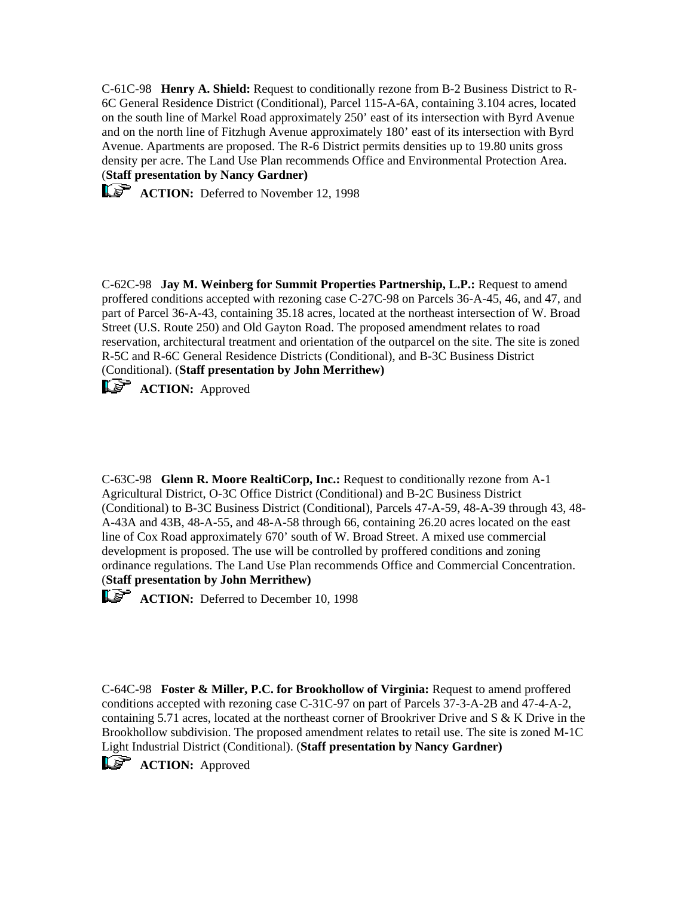C-61C-98 **Henry A. Shield:** Request to conditionally rezone from B-2 Business District to R-6C General Residence District (Conditional), Parcel 115-A-6A, containing 3.104 acres, located on the south line of Markel Road approximately 250' east of its intersection with Byrd Avenue and on the north line of Fitzhugh Avenue approximately 180' east of its intersection with Byrd Avenue. Apartments are proposed. The R-6 District permits densities up to 19.80 units gross density per acre. The Land Use Plan recommends Office and Environmental Protection Area. (**Staff presentation by Nancy Gardner)**

**ACTION:** Deferred to November 12, 1998

C-62C-98 **Jay M. Weinberg for Summit Properties Partnership, L.P.:** Request to amend proffered conditions accepted with rezoning case C-27C-98 on Parcels 36-A-45, 46, and 47, and part of Parcel 36-A-43, containing 35.18 acres, located at the northeast intersection of W. Broad Street (U.S. Route 250) and Old Gayton Road. The proposed amendment relates to road reservation, architectural treatment and orientation of the outparcel on the site. The site is zoned R-5C and R-6C General Residence Districts (Conditional), and B-3C Business District (Conditional). (**Staff presentation by John Merrithew)**

**LS** ACTION: Approved

C-63C-98 **Glenn R. Moore RealtiCorp, Inc.:** Request to conditionally rezone from A-1 Agricultural District, O-3C Office District (Conditional) and B-2C Business District (Conditional) to B-3C Business District (Conditional), Parcels 47-A-59, 48-A-39 through 43, 48- A-43A and 43B, 48-A-55, and 48-A-58 through 66, containing 26.20 acres located on the east line of Cox Road approximately 670' south of W. Broad Street. A mixed use commercial development is proposed. The use will be controlled by proffered conditions and zoning ordinance regulations. The Land Use Plan recommends Office and Commercial Concentration. (**Staff presentation by John Merrithew)**

**ACTION:** Deferred to December 10, 1998

C-64C-98 **Foster & Miller, P.C. for Brookhollow of Virginia:** Request to amend proffered conditions accepted with rezoning case C-31C-97 on part of Parcels 37-3-A-2B and 47-4-A-2, containing 5.71 acres, located at the northeast corner of Brookriver Drive and S & K Drive in the Brookhollow subdivision. The proposed amendment relates to retail use. The site is zoned M-1C Light Industrial District (Conditional). (**Staff presentation by Nancy Gardner)**

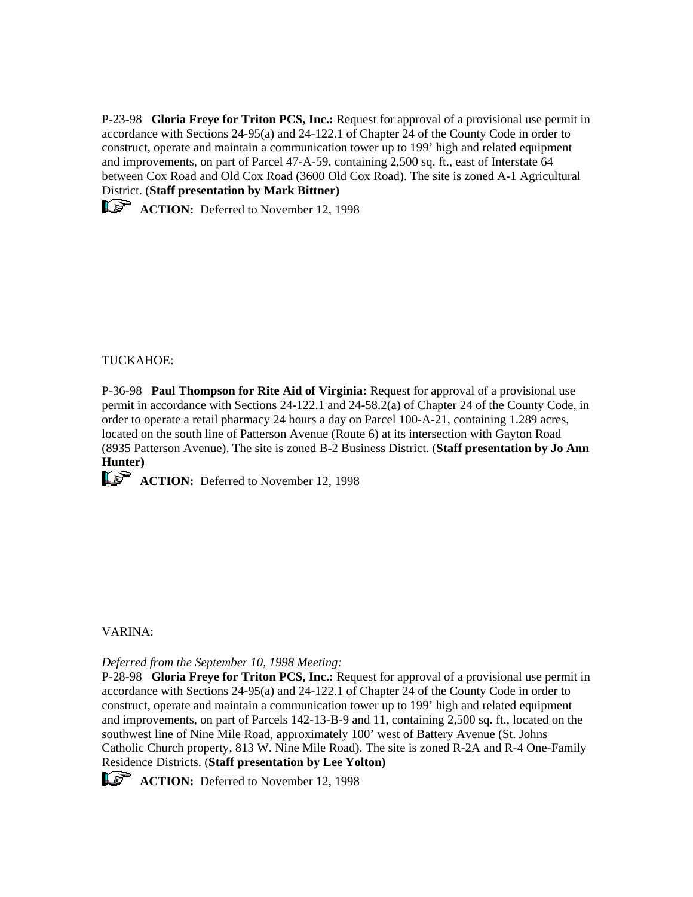P-23-98 **Gloria Freye for Triton PCS, Inc.:** Request for approval of a provisional use permit in accordance with Sections 24-95(a) and 24-122.1 of Chapter 24 of the County Code in order to construct, operate and maintain a communication tower up to 199' high and related equipment and improvements, on part of Parcel 47-A-59, containing 2,500 sq. ft., east of Interstate 64 between Cox Road and Old Cox Road (3600 Old Cox Road). The site is zoned A-1 Agricultural District. (**Staff presentation by Mark Bittner)**

**ACTION:** Deferred to November 12, 1998

TUCKAHOE:

P-36-98 **Paul Thompson for Rite Aid of Virginia:** Request for approval of a provisional use permit in accordance with Sections 24-122.1 and 24-58.2(a) of Chapter 24 of the County Code, in order to operate a retail pharmacy 24 hours a day on Parcel 100-A-21, containing 1.289 acres, located on the south line of Patterson Avenue (Route 6) at its intersection with Gayton Road (8935 Patterson Avenue). The site is zoned B-2 Business District. (**Staff presentation by Jo Ann Hunter)**

**ACTION:** Deferred to November 12, 1998

VARINA:

*Deferred from the September 10, 1998 Meeting:*

P-28-98 **Gloria Freye for Triton PCS, Inc.:** Request for approval of a provisional use permit in accordance with Sections 24-95(a) and 24-122.1 of Chapter 24 of the County Code in order to construct, operate and maintain a communication tower up to 199' high and related equipment and improvements, on part of Parcels 142-13-B-9 and 11, containing 2,500 sq. ft., located on the southwest line of Nine Mile Road, approximately 100' west of Battery Avenue (St. Johns Catholic Church property, 813 W. Nine Mile Road). The site is zoned R-2A and R-4 One-Family Residence Districts. (**Staff presentation by Lee Yolton)**



**ACTION:** Deferred to November 12, 1998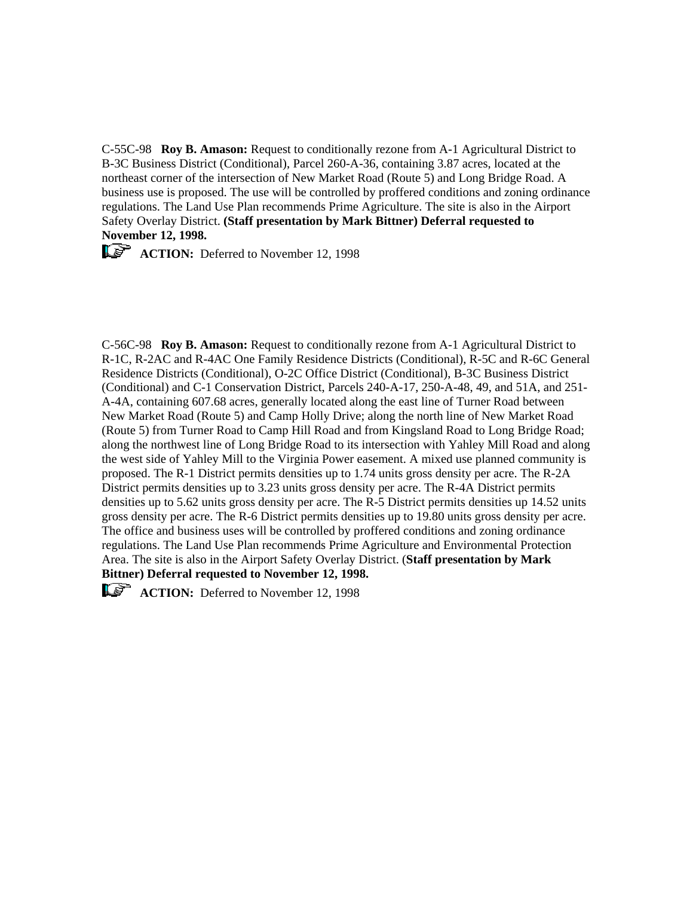C-55C-98 **Roy B. Amason:** Request to conditionally rezone from A-1 Agricultural District to B-3C Business District (Conditional), Parcel 260-A-36, containing 3.87 acres, located at the northeast corner of the intersection of New Market Road (Route 5) and Long Bridge Road. A business use is proposed. The use will be controlled by proffered conditions and zoning ordinance regulations. The Land Use Plan recommends Prime Agriculture. The site is also in the Airport Safety Overlay District. **(Staff presentation by Mark Bittner) Deferral requested to November 12, 1998.**

**ACTION:** Deferred to November 12, 1998

C-56C-98 **Roy B. Amason:** Request to conditionally rezone from A-1 Agricultural District to R-1C, R-2AC and R-4AC One Family Residence Districts (Conditional), R-5C and R-6C General Residence Districts (Conditional), O-2C Office District (Conditional), B-3C Business District (Conditional) and C-1 Conservation District, Parcels 240-A-17, 250-A-48, 49, and 51A, and 251- A-4A, containing 607.68 acres, generally located along the east line of Turner Road between New Market Road (Route 5) and Camp Holly Drive; along the north line of New Market Road (Route 5) from Turner Road to Camp Hill Road and from Kingsland Road to Long Bridge Road; along the northwest line of Long Bridge Road to its intersection with Yahley Mill Road and along the west side of Yahley Mill to the Virginia Power easement. A mixed use planned community is proposed. The R-1 District permits densities up to 1.74 units gross density per acre. The R-2A District permits densities up to 3.23 units gross density per acre. The R-4A District permits densities up to 5.62 units gross density per acre. The R-5 District permits densities up 14.52 units gross density per acre. The R-6 District permits densities up to 19.80 units gross density per acre. The office and business uses will be controlled by proffered conditions and zoning ordinance regulations. The Land Use Plan recommends Prime Agriculture and Environmental Protection Area. The site is also in the Airport Safety Overlay District. (**Staff presentation by Mark Bittner) Deferral requested to November 12, 1998.**



**ACTION:** Deferred to November 12, 1998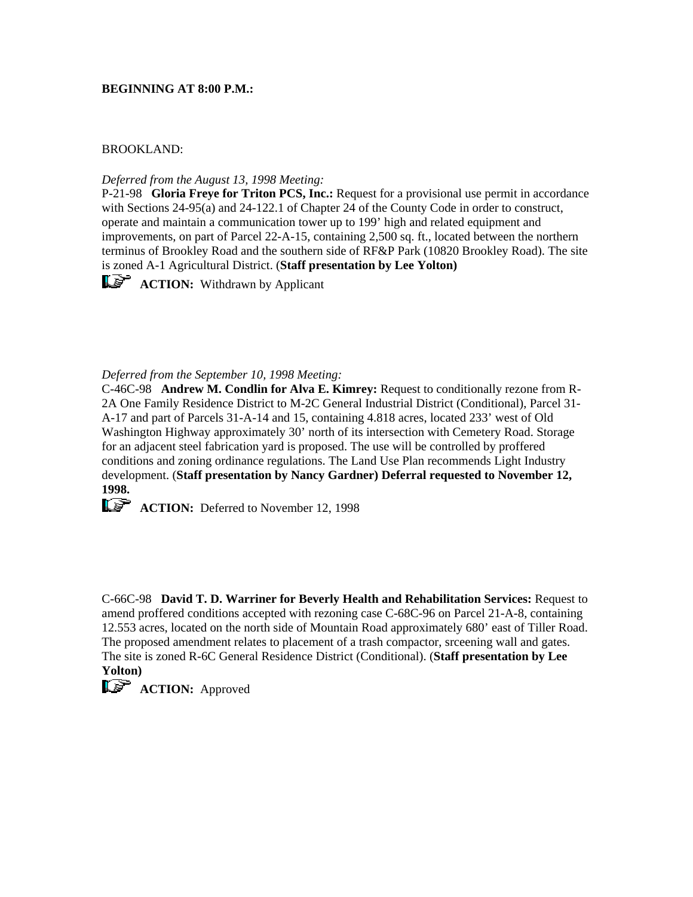## **BEGINNING AT 8:00 P.M.:**

## BROOKLAND:

*Deferred from the August 13, 1998 Meeting:*

P-21-98 **Gloria Freye for Triton PCS, Inc.:** Request for a provisional use permit in accordance with Sections 24-95(a) and 24-122.1 of Chapter 24 of the County Code in order to construct, operate and maintain a communication tower up to 199' high and related equipment and improvements, on part of Parcel 22-A-15, containing 2,500 sq. ft., located between the northern terminus of Brookley Road and the southern side of RF&P Park (10820 Brookley Road). The site is zoned A-1 Agricultural District. (**Staff presentation by Lee Yolton)**

**ACTION:** Withdrawn by Applicant

*Deferred from the September 10, 1998 Meeting:*

C-46C-98 **Andrew M. Condlin for Alva E. Kimrey:** Request to conditionally rezone from R-2A One Family Residence District to M-2C General Industrial District (Conditional), Parcel 31- A-17 and part of Parcels 31-A-14 and 15, containing 4.818 acres, located 233' west of Old Washington Highway approximately 30' north of its intersection with Cemetery Road. Storage for an adjacent steel fabrication yard is proposed. The use will be controlled by proffered conditions and zoning ordinance regulations. The Land Use Plan recommends Light Industry development. (**Staff presentation by Nancy Gardner) Deferral requested to November 12, 1998.** 

**ACTION:** Deferred to November 12, 1998

C-66C-98 **David T. D. Warriner for Beverly Health and Rehabilitation Services:** Request to amend proffered conditions accepted with rezoning case C-68C-96 on Parcel 21-A-8, containing 12.553 acres, located on the north side of Mountain Road approximately 680' east of Tiller Road. The proposed amendment relates to placement of a trash compactor, srceening wall and gates. The site is zoned R-6C General Residence District (Conditional). (**Staff presentation by Lee Yolton)**

**ACTION:** Approved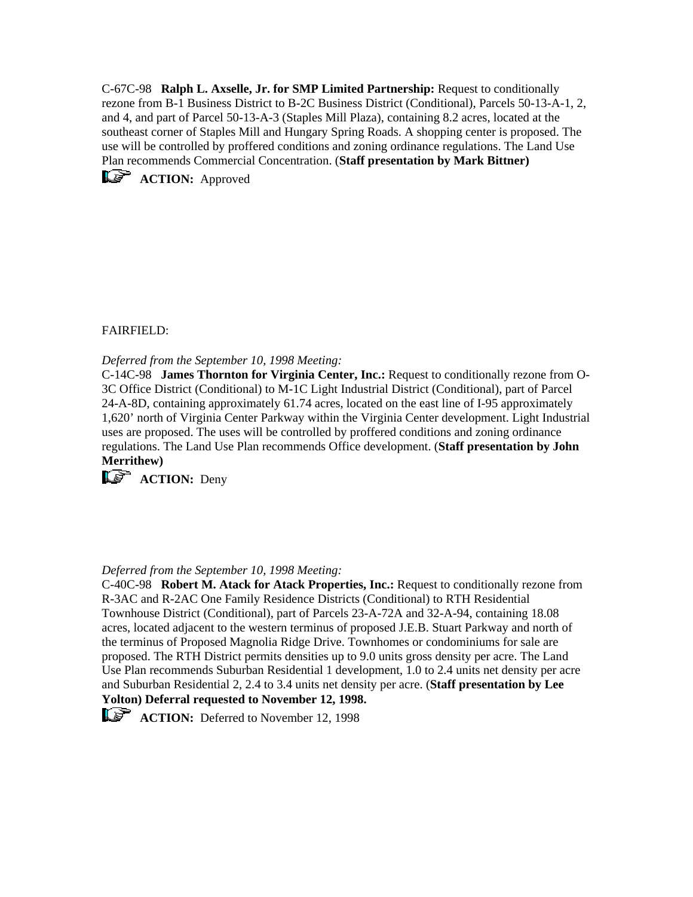C-67C-98 **Ralph L. Axselle, Jr. for SMP Limited Partnership:** Request to conditionally rezone from B-1 Business District to B-2C Business District (Conditional), Parcels 50-13-A-1, 2, and 4, and part of Parcel 50-13-A-3 (Staples Mill Plaza), containing 8.2 acres, located at the southeast corner of Staples Mill and Hungary Spring Roads. A shopping center is proposed. The use will be controlled by proffered conditions and zoning ordinance regulations. The Land Use Plan recommends Commercial Concentration. (**Staff presentation by Mark Bittner)**



# FAIRFIELD:

*Deferred from the September 10, 1998 Meeting:*

C-14C-98 **James Thornton for Virginia Center, Inc.:** Request to conditionally rezone from O-3C Office District (Conditional) to M-1C Light Industrial District (Conditional), part of Parcel 24-A-8D, containing approximately 61.74 acres, located on the east line of I-95 approximately 1,620' north of Virginia Center Parkway within the Virginia Center development. Light Industrial uses are proposed. The uses will be controlled by proffered conditions and zoning ordinance regulations. The Land Use Plan recommends Office development. (**Staff presentation by John Merrithew)**

**ACTION:** Deny

# *Deferred from the September 10, 1998 Meeting:*

C-40C-98 **Robert M. Atack for Atack Properties, Inc.:** Request to conditionally rezone from R-3AC and R-2AC One Family Residence Districts (Conditional) to RTH Residential Townhouse District (Conditional), part of Parcels 23-A-72A and 32-A-94, containing 18.08 acres, located adjacent to the western terminus of proposed J.E.B. Stuart Parkway and north of the terminus of Proposed Magnolia Ridge Drive. Townhomes or condominiums for sale are proposed. The RTH District permits densities up to 9.0 units gross density per acre. The Land Use Plan recommends Suburban Residential 1 development, 1.0 to 2.4 units net density per acre and Suburban Residential 2, 2.4 to 3.4 units net density per acre. (**Staff presentation by Lee Yolton) Deferral requested to November 12, 1998.**

**ACTION:** Deferred to November 12, 1998